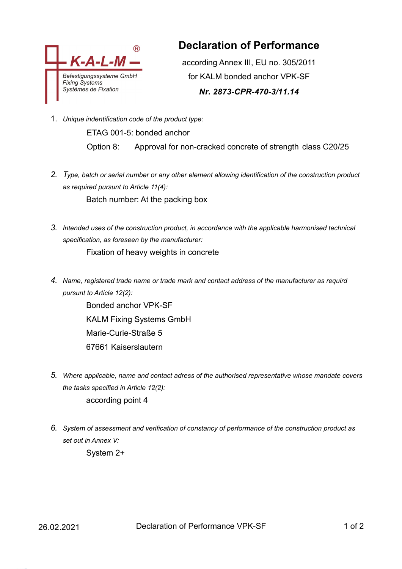

## **Declaration of Performance**

according Annex III, EU no. 305/2011 for KALM bonded anchor VPK-SF

## *Nr. 2873-CPR-470-3/11.14*

1. *Unique indentification code of the product type:*

ETAG 001-5: bonded anchor

Option 8: Approval for non-cracked concrete of strength class C20/25

- *2. Type, batch or serial number or any other element allowing identification of the construction product as required pursunt to Article 11(4):* Batch number: At the packing box
- *3. Intended uses of the construction product, in accordance with the applicable harmonised technical specification, as foreseen by the manufacturer:*

Fixation of heavy weights in concrete

*4. Name, registered trade name or trade mark and contact address of the manufacturer as requird pursunt to Article 12(2):*

> Bonded anchor VPK-SF KALM Fixing Systems GmbH Marie-Curie-Straße 5 67661 Kaiserslautern

- *5. Where applicable, name and contact adress of the authorised representative whose mandate covers the tasks specified in Article 12(2):* according point 4
- *6. System of assessment and verification of constancy of performance of the construction product as set out in Annex V:*

System 2+